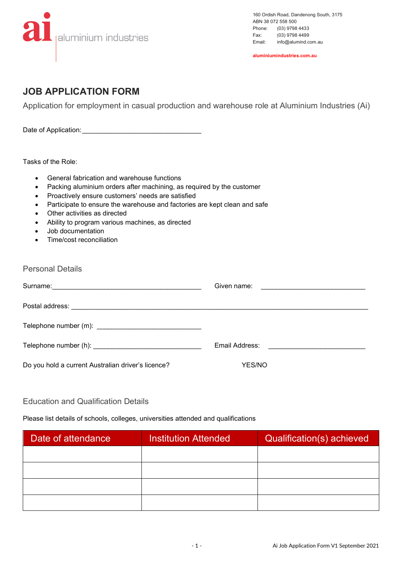

160 Ordish Road, Dandenong South, 3175 ABN 38 072 558 500<br>Phone: (03) 9798 Phone: (03) 9798 4433<br>Fax: (03) 9798 4499 Fax: (03) 9798 4499<br>Email: info@alumind.co info@alumind.com.au

**aluminiumindustries.com.au**

## **JOB APPLICATION FORM**

Application for employment in casual production and warehouse role at Aluminium Industries (Ai)

Date of Application:\_\_\_\_\_\_\_\_\_\_\_\_\_\_\_\_\_\_\_\_\_\_\_\_\_\_\_\_\_\_\_\_

Tasks of the Role:

- General fabrication and warehouse functions
- Packing aluminium orders after machining, as required by the customer
- Proactively ensure customers' needs are satisfied
- Participate to ensure the warehouse and factories are kept clean and safe
- Other activities as directed
- Ability to program various machines, as directed
- Job documentation
- Time/cost reconciliation

| <b>Personal Details</b> |
|-------------------------|
|                         |

|                                                    | Given name: <u>_____________________________</u>  |
|----------------------------------------------------|---------------------------------------------------|
|                                                    |                                                   |
|                                                    |                                                   |
|                                                    | Email Address: The Contract of Terms and Address: |
| Do you hold a current Australian driver's licence? | YES/NO                                            |

## Education and Qualification Details

## Please list details of schools, colleges, universities attended and qualifications

| Date of attendance | <b>Institution Attended</b> | Qualification(s) achieved |
|--------------------|-----------------------------|---------------------------|
|                    |                             |                           |
|                    |                             |                           |
|                    |                             |                           |
|                    |                             |                           |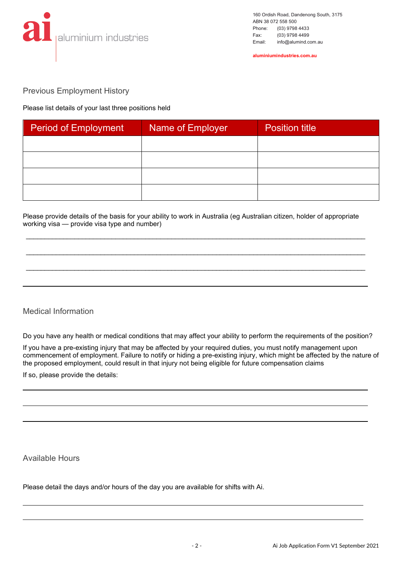

**aluminiumindustries.com.au**

Previous Employment History

Please list details of your last three positions held

| <b>Period of Employment</b> | Name of Employer | <b>Position title</b> |
|-----------------------------|------------------|-----------------------|
|                             |                  |                       |
|                             |                  |                       |
|                             |                  |                       |
|                             |                  |                       |

Please provide details of the basis for your ability to work in Australia (eg Australian citizen, holder of appropriate working visa — provide visa type and number)

\_\_\_\_\_\_\_\_\_\_\_\_\_\_\_\_\_\_\_\_\_\_\_\_\_\_\_\_\_\_\_\_\_\_\_\_\_\_\_\_\_\_\_\_\_\_\_\_\_\_\_\_\_\_\_\_\_\_\_\_\_\_\_\_\_\_\_\_\_\_\_\_\_\_\_\_\_\_\_\_\_\_\_\_\_\_\_\_\_\_\_

\_\_\_\_\_\_\_\_\_\_\_\_\_\_\_\_\_\_\_\_\_\_\_\_\_\_\_\_\_\_\_\_\_\_\_\_\_\_\_\_\_\_\_\_\_\_\_\_\_\_\_\_\_\_\_\_\_\_\_\_\_\_\_\_\_\_\_\_\_\_\_\_\_\_\_\_\_\_\_\_\_\_\_\_\_\_\_\_\_\_\_

\_\_\_\_\_\_\_\_\_\_\_\_\_\_\_\_\_\_\_\_\_\_\_\_\_\_\_\_\_\_\_\_\_\_\_\_\_\_\_\_\_\_\_\_\_\_\_\_\_\_\_\_\_\_\_\_\_\_\_\_\_\_\_\_\_\_\_\_\_\_\_\_\_\_\_\_\_\_\_\_\_\_\_\_\_\_\_\_\_\_\_

## Medical Information

Do you have any health or medical conditions that may affect your ability to perform the requirements of the position?

If you have a pre-existing injury that may be affected by your required duties, you must notify management upon commencement of employment. Failure to notify or hiding a pre-existing injury, which might be affected by the nature of the proposed employment, could result in that injury not being eligible for future compensation claims

If so, please provide the details:

Available Hours

l

Please detail the days and/or hours of the day you are available for shifts with Ai.

 $\overline{a}$ 

 $\ddot{\phantom{a}}$